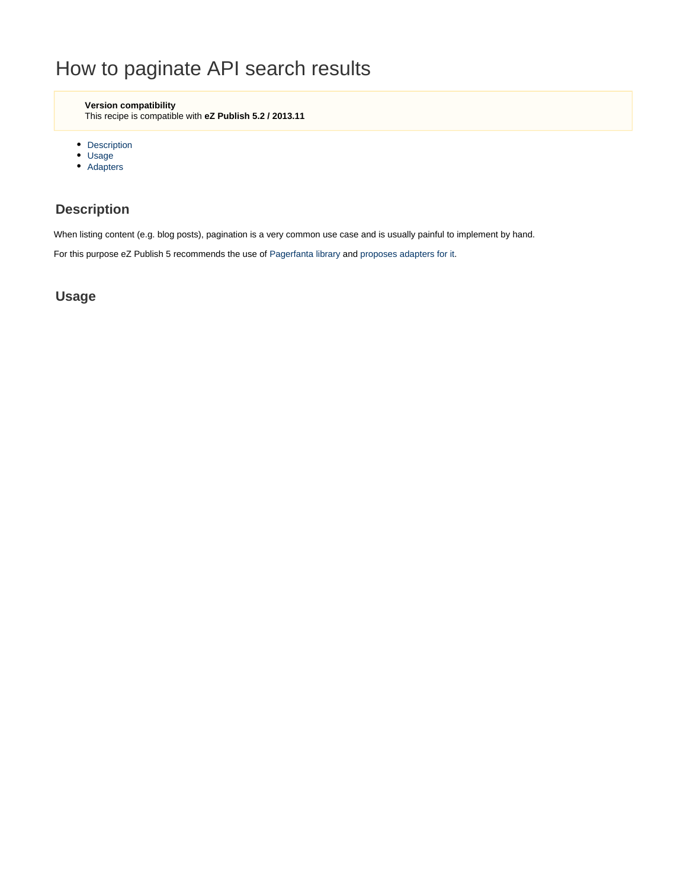# How to paginate API search results

**Version compatibility**

This recipe is compatible with **eZ Publish 5.2 / 2013.11**

- [Description](#page-0-0)
- [Usage](#page-0-1)
- [Adapters](#page-2-0)

## <span id="page-0-0"></span>**Description**

When listing content (e.g. blog posts), pagination is a very common use case and is usually painful to implement by hand.

For this purpose eZ Publish 5 recommends the use of [Pagerfanta library](https://github.com/whiteoctober/Pagerfanta) and [proposes adapters for it](https://github.com/ezsystems/ezpublish-kernel/tree/master/eZ/Publish/Core/Pagination/Pagerfanta).

### <span id="page-0-1"></span>**Usage**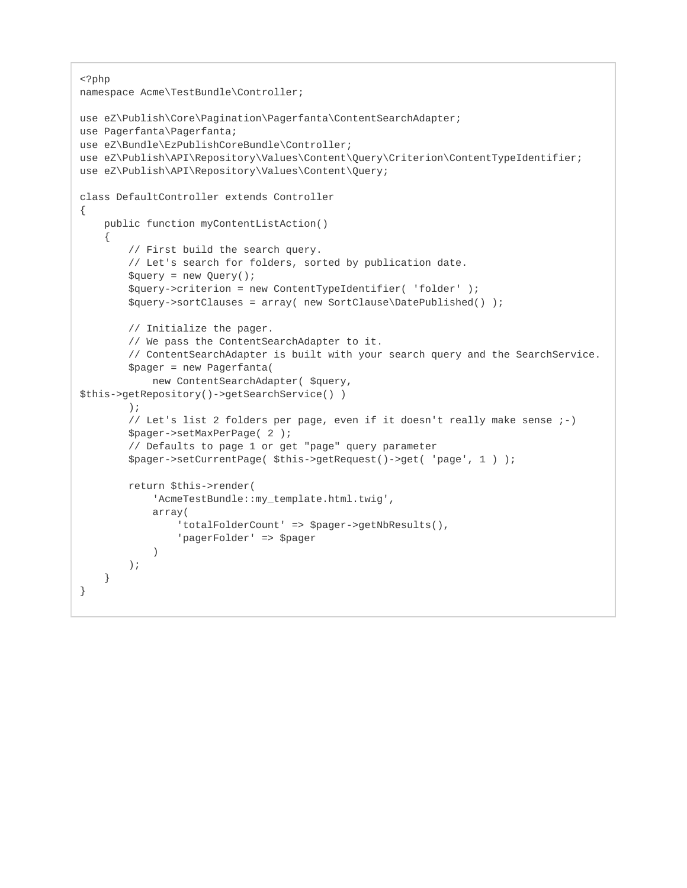```
<?php
namespace Acme\TestBundle\Controller;
use eZ\Publish\Core\Pagination\Pagerfanta\ContentSearchAdapter;
use Pagerfanta\Pagerfanta;
use eZ\Bundle\EzPublishCoreBundle\Controller;
use eZ\Publish\API\Repository\Values\Content\Query\Criterion\ContentTypeIdentifier;
use eZ\Publish\API\Repository\Values\Content\Query;
class DefaultController extends Controller
{
     public function myContentListAction()
     {
         // First build the search query.
         // Let's search for folders, sorted by publication date.
         $query = new Query();
         $query->criterion = new ContentTypeIdentifier( 'folder' );
         $query->sortClauses = array( new SortClause\DatePublished() );
         // Initialize the pager.
         // We pass the ContentSearchAdapter to it.
         // ContentSearchAdapter is built with your search query and the SearchService.
         $pager = new Pagerfanta( 
             new ContentSearchAdapter( $query,
$this->getRepository()->getSearchService() ) 
         );
         // Let's list 2 folders per page, even if it doesn't really make sense ;-)
         $pager->setMaxPerPage( 2 );
         // Defaults to page 1 or get "page" query parameter
         $pager->setCurrentPage( $this->getRequest()->get( 'page', 1 ) );
         return $this->render(
             'AcmeTestBundle::my_template.html.twig',
             array(
                 'totalFolderCount' => $pager->getNbResults(),
                  'pagerFolder' => $pager
\qquad \qquad ) );
     }
}
```